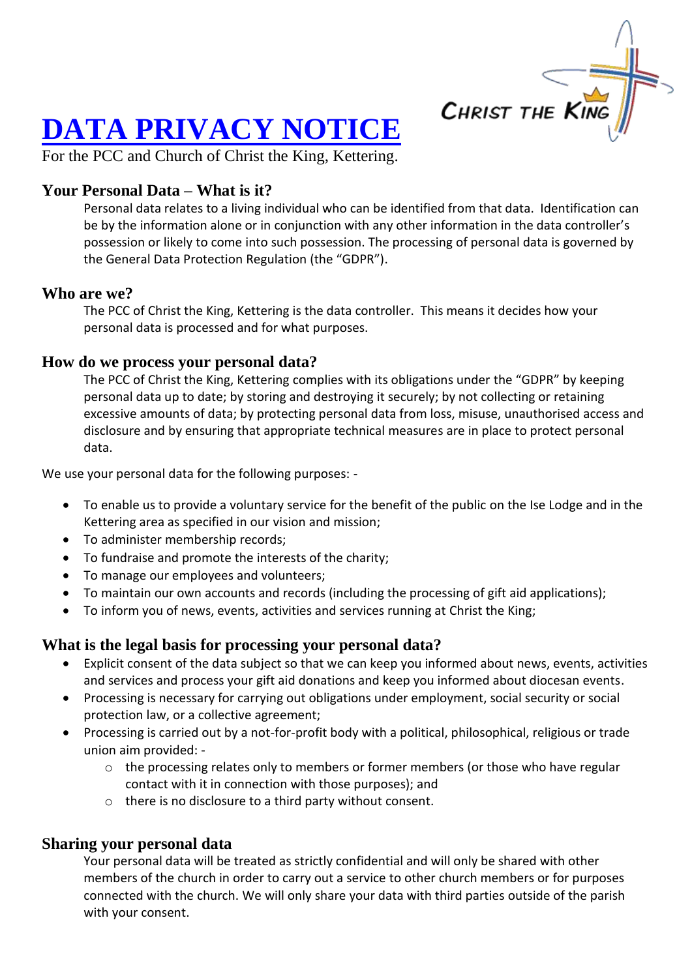

# **DATA PRIVACY NOTICE**

For the PCC and Church of Christ the King, Kettering.

## **Your Personal Data – What is it?**

Personal data relates to a living individual who can be identified from that data. Identification can be by the information alone or in conjunction with any other information in the data controller's possession or likely to come into such possession. The processing of personal data is governed by the General Data Protection Regulation (the "GDPR").

#### **Who are we?**

The PCC of Christ the King, Kettering is the data controller. This means it decides how your personal data is processed and for what purposes.

#### **How do we process your personal data?**

The PCC of Christ the King, Kettering complies with its obligations under the "GDPR" by keeping personal data up to date; by storing and destroying it securely; by not collecting or retaining excessive amounts of data; by protecting personal data from loss, misuse, unauthorised access and disclosure and by ensuring that appropriate technical measures are in place to protect personal data.

We use your personal data for the following purposes: -

- To enable us to provide a voluntary service for the benefit of the public on the Ise Lodge and in the Kettering area as specified in our vision and mission;
- To administer membership records;
- To fundraise and promote the interests of the charity;
- To manage our employees and volunteers;
- To maintain our own accounts and records (including the processing of gift aid applications);
- To inform you of news, events, activities and services running at Christ the King;

### **What is the legal basis for processing your personal data?**

- Explicit consent of the data subject so that we can keep you informed about news, events, activities and services and process your gift aid donations and keep you informed about diocesan events.
- Processing is necessary for carrying out obligations under employment, social security or social protection law, or a collective agreement;
- Processing is carried out by a not-for-profit body with a political, philosophical, religious or trade union aim provided:
	- o the processing relates only to members or former members (or those who have regular contact with it in connection with those purposes); and
	- o there is no disclosure to a third party without consent.

#### **Sharing your personal data**

Your personal data will be treated as strictly confidential and will only be shared with other members of the church in order to carry out a service to other church members or for purposes connected with the church. We will only share your data with third parties outside of the parish with your consent.